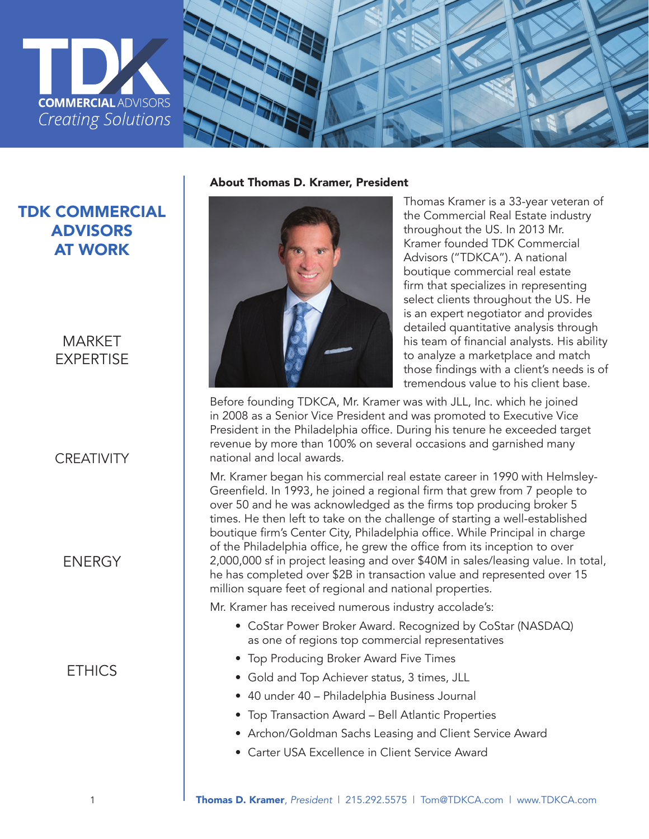



# TDK COMMERCIAL ADVISORS AT WORK

### MARKET EXPERTISE

### **CREATIVITY**

#### **FNFRGY**

### **ETHICS**

About Thomas D. Kramer, President



Thomas Kramer is a 33-year veteran of the Commercial Real Estate industry throughout the US. In 2013 Mr. Kramer founded TDK Commercial Advisors ("TDKCA"). A national boutique commercial real estate firm that specializes in representing select clients throughout the US. He is an expert negotiator and provides detailed quantitative analysis through his team of financial analysts. His ability to analyze a marketplace and match those findings with a client's needs is of tremendous value to his client base.

Before founding TDKCA, Mr. Kramer was with JLL, Inc. which he joined in 2008 as a Senior Vice President and was promoted to Executive Vice President in the Philadelphia office. During his tenure he exceeded target revenue by more than 100% on several occasions and garnished many national and local awards.

Mr. Kramer began his commercial real estate career in 1990 with Helmsley-Greenfield. In 1993, he joined a regional firm that grew from 7 people to over 50 and he was acknowledged as the firms top producing broker 5 times. He then left to take on the challenge of starting a well-established boutique firm's Center City, Philadelphia office. While Principal in charge of the Philadelphia office, he grew the office from its inception to over 2,000,000 sf in project leasing and over \$40M in sales/leasing value. In total, he has completed over \$2B in transaction value and represented over 15 million square feet of regional and national properties.

Mr. Kramer has received numerous industry accolade's:

- CoStar Power Broker Award. Recognized by CoStar (NASDAQ) as one of regions top commercial representatives
- Top Producing Broker Award Five Times
- Gold and Top Achiever status, 3 times, JLL
- 40 under 40 Philadelphia Business Journal
- Top Transaction Award Bell Atlantic Properties
- Archon/Goldman Sachs Leasing and Client Service Award
- Carter USA Excellence in Client Service Award